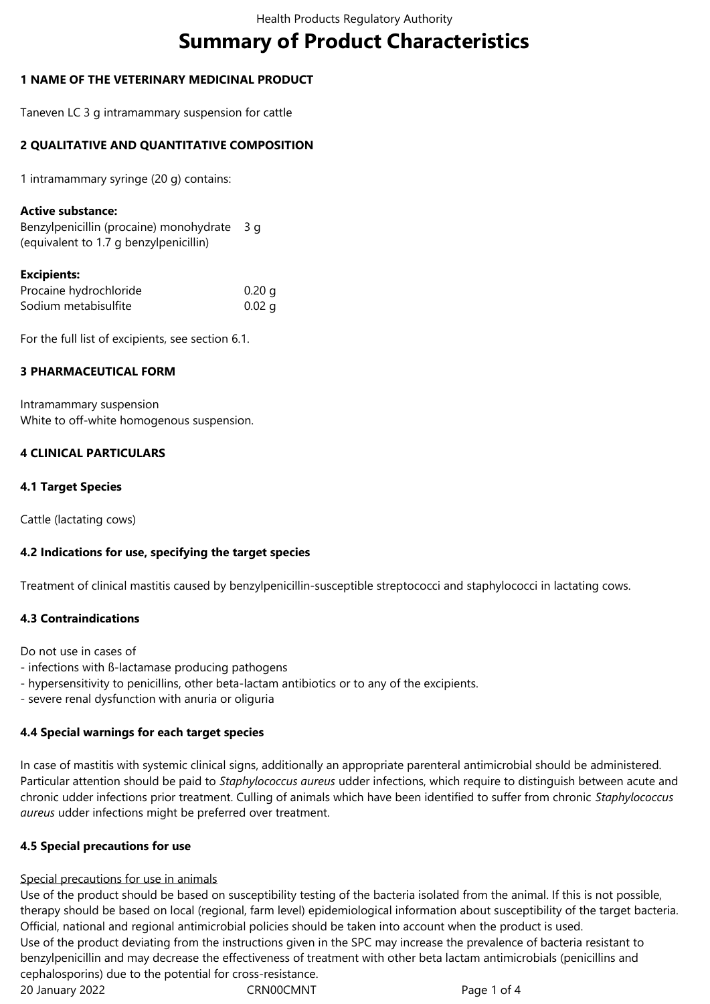# **Summary of Product Characteristics**

# **1 NAME OF THE VETERINARY MEDICINAL PRODUCT**

Taneven LC 3 g intramammary suspension for cattle

## **2 QUALITATIVE AND QUANTITATIVE COMPOSITION**

1 intramammary syringe (20 g) contains:

#### **Active substance:**

Benzylpenicillin (procaine) monohydrate 3 g (equivalent to 1.7 g benzylpenicillin)

#### **Excipients:**

| Procaine hydrochloride | 0.20 g   |
|------------------------|----------|
| Sodium metabisulfite   | $0.02$ g |

For the full list of excipients, see section 6.1.

## **3 PHARMACEUTICAL FORM**

Intramammary suspension White to off-white homogenous suspension.

## **4 CLINICAL PARTICULARS**

## **4.1 Target Species**

Cattle (lactating cows)

## **4.2 Indications for use, specifying the target species**

Treatment of clinical mastitis caused by benzylpenicillin-susceptible streptococci and staphylococci in lactating cows.

## **4.3 Contraindications**

Do not use in cases of

- infections with ß-lactamase producing pathogens
- hypersensitivity to penicillins, other beta-lactam antibiotics or to any of the excipients.
- severe renal dysfunction with anuria or oliguria

## **4.4 Special warnings for each target species**

In case of mastitis with systemic clinical signs, additionally an appropriate parenteral antimicrobial should be administered. Particular attention should be paid to *Staphylococcus aureus* udder infections, which require to distinguish between acute and chronic udder infections prior treatment. Culling of animals which have been identified to suffer from chronic *Staphylococcus aureus* udder infections might be preferred over treatment.

## **4.5 Special precautions for use**

## Special precautions for use in animals

20 January 2022 CRN00CMNT Page 1 of 4 Use of the product should be based on susceptibility testing of the bacteria isolated from the animal. If this is not possible, therapy should be based on local (regional, farm level) epidemiological information about susceptibility of the target bacteria. Official, national and regional antimicrobial policies should be taken into account when the product is used. Use of the product deviating from the instructions given in the SPC may increase the prevalence of bacteria resistant to benzylpenicillin and may decrease the effectiveness of treatment with other beta lactam antimicrobials (penicillins and cephalosporins) due to the potential for cross-resistance.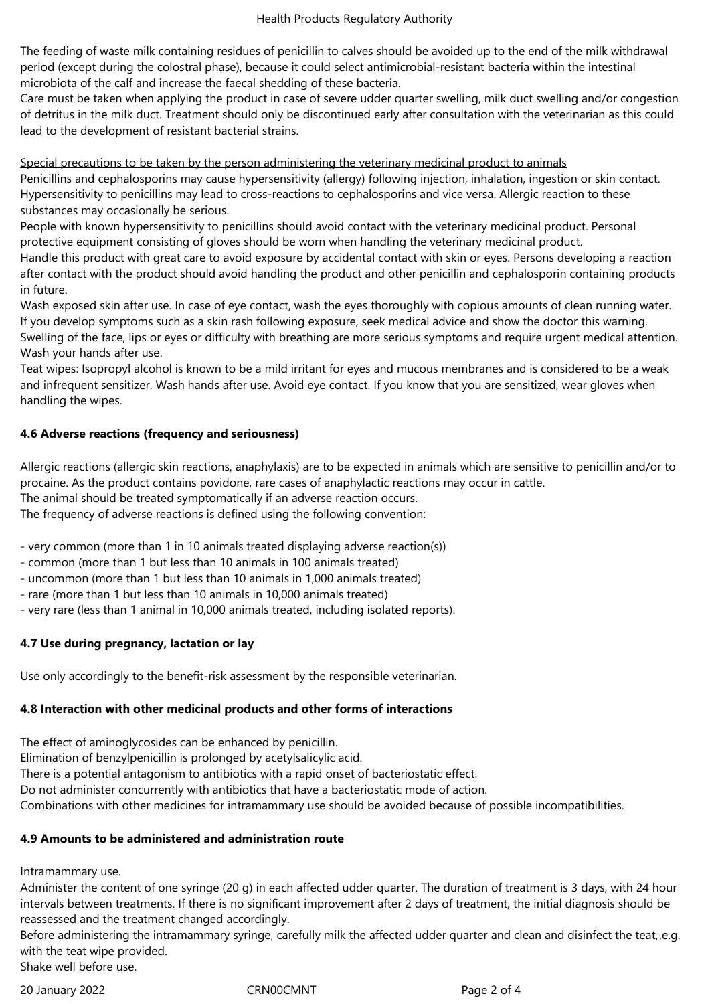The feeding of waste milk containing residues of penicillin to calves should be avoided up to the end of the milk withdrawal period (except during the colostral phase), because it could select antimicrobial-resistant bacteria within the intestinal microbiota of the calf and increase the faecal shedding of these bacteria.

Care must be taken when applying the product in case of severe udder quarter swelling, milk duct swelling and/or congestion of detritus in the milk duct. Treatment should only be discontinued early after consultation with the veterinarian as this could lead to the development of resistant bacterial strains.

Special precautions to be taken by the person administering the veterinary medicinal product to animals

Penicillins and cephalosporins may cause hypersensitivity (allergy) following injection, inhalation, ingestion or skin contact. Hypersensitivity to penicillins may lead to cross-reactions to cephalosporins and vice versa. Allergic reaction to these substances may occasionally be serious.

People with known hypersensitivity to penicillins should avoid contact with the veterinary medicinal product. Personal protective equipment consisting of gloves should be worn when handling the veterinary medicinal product.

Handle this product with great care to avoid exposure by accidental contact with skin or eyes. Persons developing a reaction after contact with the product should avoid handling the product and other penicillin and cephalosporin containing products in future.

Wash exposed skin after use. In case of eye contact, wash the eyes thoroughly with copious amounts of clean running water. If you develop symptoms such as a skin rash following exposure, seek medical advice and show the doctor this warning. Swelling of the face, lips or eyes or difficulty with breathing are more serious symptoms and require urgent medical attention. Wash your hands after use.

Teat wipes: Isopropyl alcohol is known to be a mild irritant for eyes and mucous membranes and is considered to be a weak and infrequent sensitizer. Wash hands after use. Avoid eye contact. If you know that you are sensitized, wear gloves when handling the wipes.

# **4.6 Adverse reactions (frequency and seriousness)**

Allergic reactions (allergic skin reactions, anaphylaxis) are to be expected in animals which are sensitive to penicillin and/or to procaine. As the product contains povidone, rare cases of anaphylactic reactions may occur in cattle. The animal should be treated symptomatically if an adverse reaction occurs.

The frequency of adverse reactions is defined using the following convention:

- very common (more than 1 in 10 animals treated displaying adverse reaction(s))

- common (more than 1 but less than 10 animals in 100 animals treated)

- uncommon (more than 1 but less than 10 animals in 1,000 animals treated)

- rare (more than 1 but less than 10 animals in 10,000 animals treated)

- very rare (less than 1 animal in 10,000 animals treated, including isolated reports).

# **4.7 Use during pregnancy, lactation or lay**

Use only accordingly to the benefit-risk assessment by the responsible veterinarian.

## **4.8 Interaction with other medicinal products and other forms of interactions**

The effect of aminoglycosides can be enhanced by penicillin.

Elimination of benzylpenicillin is prolonged by acetylsalicylic acid.

There is a potential antagonism to antibiotics with a rapid onset of bacteriostatic effect.

Do not administer concurrently with antibiotics that have a bacteriostatic mode of action.

Combinations with other medicines for intramammary use should be avoided because of possible incompatibilities.

# **4.9 Amounts to be administered and administration route**

Intramammary use.

Administer the content of one syringe (20 g) in each affected udder quarter. The duration of treatment is 3 days, with 24 hour intervals between treatments. If there is no significant improvement after 2 days of treatment, the initial diagnosis should be reassessed and the treatment changed accordingly.

Before administering the intramammary syringe, carefully milk the affected udder quarter and clean and disinfect the teat,,e.g. with the teat wipe provided. Shake well before use.

20 January 2022 CRN00CMNT Page 2 of 4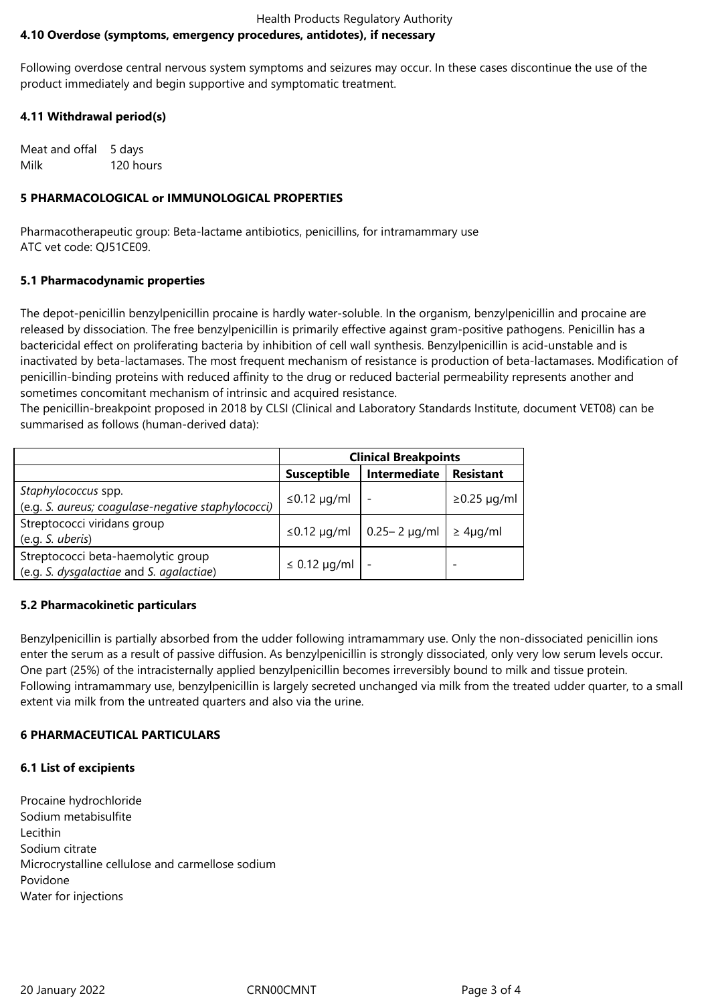## Health Products Regulatory Authority **4.10 Overdose (symptoms, emergency procedures, antidotes), if necessary**

Following overdose central nervous system symptoms and seizures may occur. In these cases discontinue the use of the product immediately and begin supportive and symptomatic treatment.

# **4.11 Withdrawal period(s)**

Meat and offal 5 days Milk 120 hours

## **5 PHARMACOLOGICAL or IMMUNOLOGICAL PROPERTIES**

Pharmacotherapeutic group: Beta-lactame antibiotics, penicillins, for intramammary use ATC vet code: QJ51CE09.

## **5.1 Pharmacodynamic properties**

The depot-penicillin benzylpenicillin procaine is hardly water-soluble. In the organism, benzylpenicillin and procaine are released by dissociation. The free benzylpenicillin is primarily effective against gram-positive pathogens. Penicillin has a bactericidal effect on proliferating bacteria by inhibition of cell wall synthesis. Benzylpenicillin is acid-unstable and is inactivated by beta-lactamases. The most frequent mechanism of resistance is production of beta-lactamases. Modification of penicillin-binding proteins with reduced affinity to the drug or reduced bacterial permeability represents another and sometimes concomitant mechanism of intrinsic and acquired resistance.

The penicillin-breakpoint proposed in 2018 by CLSI (Clinical and Laboratory Standards Institute, document VET08) can be summarised as follows (human-derived data):

|                                                    | <b>Clinical Breakpoints</b> |                     |                   |
|----------------------------------------------------|-----------------------------|---------------------|-------------------|
|                                                    | <b>Susceptible</b>          | Intermediate        | <b>Resistant</b>  |
| Staphylococcus spp.                                | $\leq$ 0.12 µg/ml           |                     | $\geq$ 0.25 µg/ml |
| (e.g. S. aureus; coagulase-negative staphylococci) |                             |                     |                   |
| Streptococci viridans group                        |                             |                     |                   |
| (e.q. S. uberis)                                   | $\leq$ 0.12 µg/ml           | $0.25 - 2 \mu q/ml$ | $\geq 4\mu q/ml$  |
| Streptococci beta-haemolytic group                 |                             |                     |                   |
| (e.g. S. dysgalactiae and S. agalactiae)           | $\leq$ 0.12 µg/ml           |                     |                   |

## **5.2 Pharmacokinetic particulars**

Benzylpenicillin is partially absorbed from the udder following intramammary use. Only the non-dissociated penicillin ions enter the serum as a result of passive diffusion. As benzylpenicillin is strongly dissociated, only very low serum levels occur. One part (25%) of the intracisternally applied benzylpenicillin becomes irreversibly bound to milk and tissue protein. Following intramammary use, benzylpenicillin is largely secreted unchanged via milk from the treated udder quarter, to a small extent via milk from the untreated quarters and also via the urine.

# **6 PHARMACEUTICAL PARTICULARS**

## **6.1 List of excipients**

Procaine hydrochloride Sodium metabisulfite Lecithin Sodium citrate Microcrystalline cellulose and carmellose sodium Povidone Water for injections